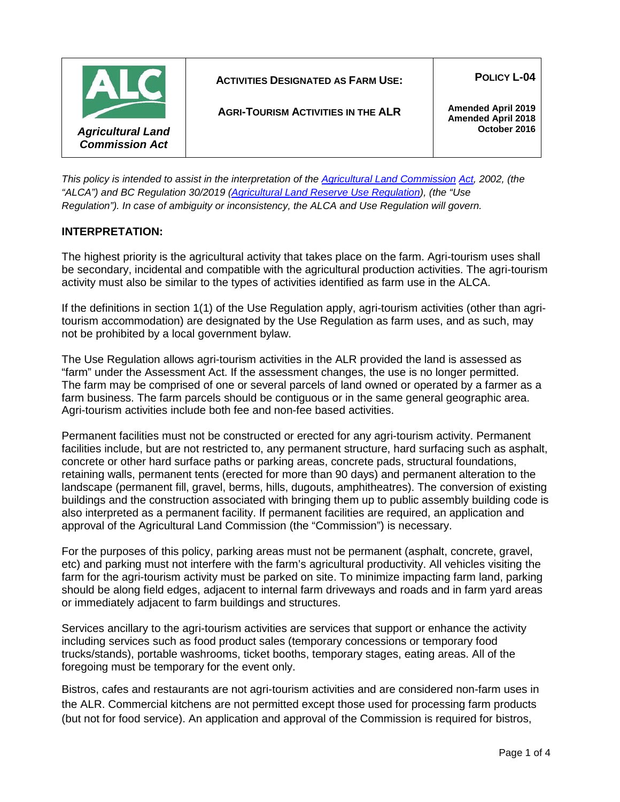|                                                   | <b>ACTIVITIES DESIGNATED AS FARM USE:</b> | <b>POLICY L-04</b>                                     |
|---------------------------------------------------|-------------------------------------------|--------------------------------------------------------|
|                                                   | <b>AGRI-TOURISM ACTIVITIES IN THE ALR</b> | <b>Amended April 2019</b><br><b>Amended April 2018</b> |
| <b>Agricultural Land</b><br><b>Commission Act</b> |                                           | October 2016                                           |

*This policy is intended to assist in the interpretation of the [Agricultural Land Commission](http://www.bclaws.ca/Recon/document/ID/freeside/00_02036_01) [Act,](http://www.bclaws.ca/Recon/document/ID/freeside/00_02036_01) 2002, (the "ALCA") and BC Regulation 30/2019 [\(Agricultural Land Reserve Use Regulation\)](http://www.bclaws.ca/civix/document/id/complete/statreg/30_2019), (the "Use Regulation"). In case of ambiguity or inconsistency, the ALCA and Use Regulation will govern.*

# **INTERPRETATION:**

The highest priority is the agricultural activity that takes place on the farm. Agri-tourism uses shall be secondary, incidental and compatible with the agricultural production activities. The agri-tourism activity must also be similar to the types of activities identified as farm use in the ALCA.

If the definitions in section 1(1) of the Use Regulation apply, agri-tourism activities (other than agritourism accommodation) are designated by the Use Regulation as farm uses, and as such, may not be prohibited by a local government bylaw.

The Use Regulation allows agri-tourism activities in the ALR provided the land is assessed as "farm" under the Assessment Act. If the assessment changes, the use is no longer permitted. The farm may be comprised of one or several parcels of land owned or operated by a farmer as a farm business. The farm parcels should be contiguous or in the same general geographic area. Agri-tourism activities include both fee and non-fee based activities.

Permanent facilities must not be constructed or erected for any agri-tourism activity. Permanent facilities include, but are not restricted to, any permanent structure, hard surfacing such as asphalt, concrete or other hard surface paths or parking areas, concrete pads, structural foundations, retaining walls, permanent tents (erected for more than 90 days) and permanent alteration to the landscape (permanent fill, gravel, berms, hills, dugouts, amphitheatres). The conversion of existing buildings and the construction associated with bringing them up to public assembly building code is also interpreted as a permanent facility. If permanent facilities are required, an application and approval of the Agricultural Land Commission (the "Commission") is necessary.

For the purposes of this policy, parking areas must not be permanent (asphalt, concrete, gravel, etc) and parking must not interfere with the farm's agricultural productivity. All vehicles visiting the farm for the agri-tourism activity must be parked on site. To minimize impacting farm land, parking should be along field edges, adjacent to internal farm driveways and roads and in farm yard areas or immediately adjacent to farm buildings and structures.

Services ancillary to the agri-tourism activities are services that support or enhance the activity including services such as food product sales (temporary concessions or temporary food trucks/stands), portable washrooms, ticket booths, temporary stages, eating areas. All of the foregoing must be temporary for the event only.

Bistros, cafes and restaurants are not agri-tourism activities and are considered non-farm uses in the ALR. Commercial kitchens are not permitted except those used for processing farm products (but not for food service). An application and approval of the Commission is required for bistros,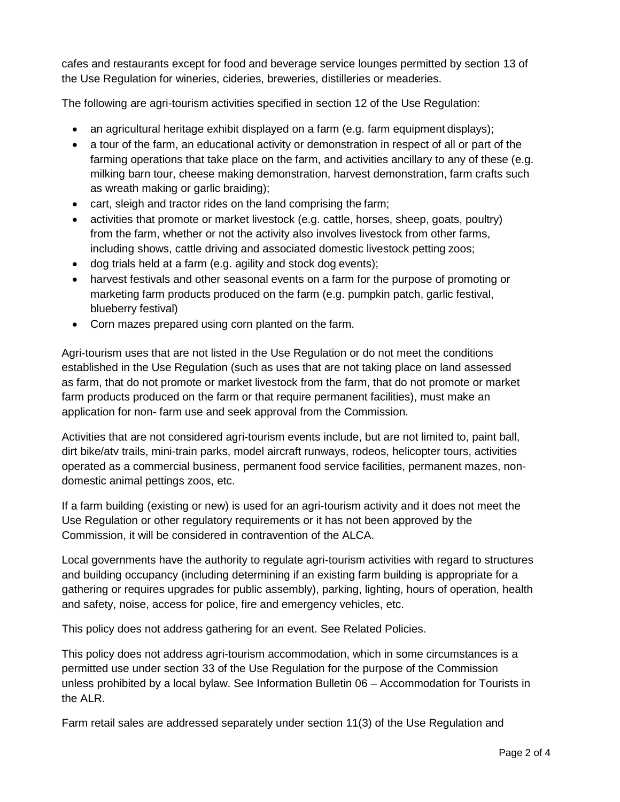cafes and restaurants except for food and beverage service lounges permitted by section 13 of the Use Regulation for wineries, cideries, breweries, distilleries or meaderies.

The following are agri-tourism activities specified in section 12 of the Use Regulation:

- an agricultural heritage exhibit displayed on a farm (e.g. farm equipment displays);
- a tour of the farm, an educational activity or demonstration in respect of all or part of the farming operations that take place on the farm, and activities ancillary to any of these (e.g. milking barn tour, cheese making demonstration, harvest demonstration, farm crafts such as wreath making or garlic braiding);
- cart, sleigh and tractor rides on the land comprising the farm;
- activities that promote or market livestock (e.g. cattle, horses, sheep, goats, poultry) from the farm, whether or not the activity also involves livestock from other farms, including shows, cattle driving and associated domestic livestock petting zoos;
- dog trials held at a farm (e.g. agility and stock dog events);
- harvest festivals and other seasonal events on a farm for the purpose of promoting or marketing farm products produced on the farm (e.g. pumpkin patch, garlic festival, blueberry festival)
- Corn mazes prepared using corn planted on the farm.

Agri-tourism uses that are not listed in the Use Regulation or do not meet the conditions established in the Use Regulation (such as uses that are not taking place on land assessed as farm, that do not promote or market livestock from the farm, that do not promote or market farm products produced on the farm or that require permanent facilities), must make an application for non- farm use and seek approval from the Commission.

Activities that are not considered agri-tourism events include, but are not limited to, paint ball, dirt bike/atv trails, mini-train parks, model aircraft runways, rodeos, helicopter tours, activities operated as a commercial business, permanent food service facilities, permanent mazes, nondomestic animal pettings zoos, etc.

If a farm building (existing or new) is used for an agri-tourism activity and it does not meet the Use Regulation or other regulatory requirements or it has not been approved by the Commission, it will be considered in contravention of the ALCA.

Local governments have the authority to regulate agri-tourism activities with regard to structures and building occupancy (including determining if an existing farm building is appropriate for a gathering or requires upgrades for public assembly), parking, lighting, hours of operation, health and safety, noise, access for police, fire and emergency vehicles, etc.

This policy does not address gathering for an event. See Related Policies.

This policy does not address agri-tourism accommodation, which in some circumstances is a permitted use under section 33 of the Use Regulation for the purpose of the Commission unless prohibited by a local bylaw. See Information Bulletin 06 – Accommodation for Tourists in the ALR.

Farm retail sales are addressed separately under section 11(3) of the Use Regulation and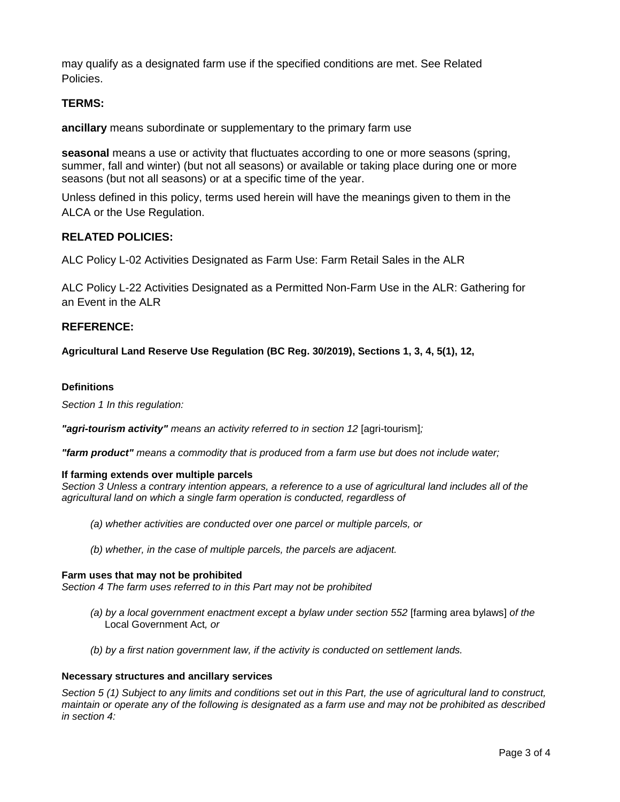may qualify as a designated farm use if the specified conditions are met. See Related Policies.

# **TERMS:**

**ancillary** means subordinate or supplementary to the primary farm use

**seasonal** means a use or activity that fluctuates according to one or more seasons (spring, summer, fall and winter) (but not all seasons) or available or taking place during one or more seasons (but not all seasons) or at a specific time of the year.

Unless defined in this policy, terms used herein will have the meanings given to them in the ALCA or the Use Regulation.

# **RELATED POLICIES:**

ALC Policy L-02 Activities Designated as Farm Use: Farm Retail Sales in the ALR

ALC Policy L-22 Activities Designated as a Permitted Non-Farm Use in the ALR: Gathering for an Event in the ALR

# **REFERENCE:**

**Agricultural Land Reserve Use Regulation (BC Reg. 30/2019), Sections 1, 3, 4, 5(1), 12,** 

# **Definitions**

*Section 1 In this regulation:*

*"agri-tourism activity" means an activity referred to in section 12* [agri-tourism]*;*

*"farm product" means a commodity that is produced from a farm use but does not include water;*

# **If farming extends over multiple parcels**

*Section 3 Unless a contrary intention appears, a reference to a use of agricultural land includes all of the agricultural land on which a single farm operation is conducted, regardless of*

- *(a) whether activities are conducted over one parcel or multiple parcels, or*
- *(b) whether, in the case of multiple parcels, the parcels are adjacent.*

# **Farm uses that may not be prohibited**

*Section 4 The farm uses referred to in this Part may not be prohibited*

- *(a) by a local government enactment except a bylaw under section 552* [farming area bylaws] *of the*  [Local Government Act](http://www.bclaws.ca/civix/document/id/complete/statreg/r15001_00)*, or*
- *(b) by a first nation government law, if the activity is conducted on settlement lands.*

#### **Necessary structures and ancillary services**

*Section 5 (1) Subject to any limits and conditions set out in this Part, the use of agricultural land to construct, maintain or operate any of the following is designated as a farm use and may not be prohibited as described in section 4:*